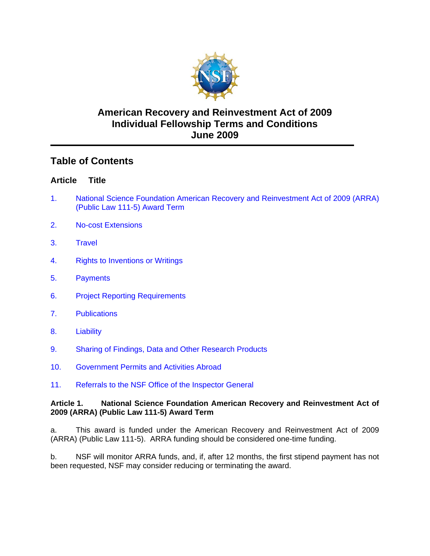

# **American Recovery and Reinvestment Act of 2009 Individual Fellowship Terms and Conditions June 2009**

# **Table of Contents**

## **Article Title**

- 1. National Science Foundation American Recovery and Reinvestment Act of 2009 (ARRA) (Public Law 111-5) Award Term
- [2. No-cost Extensions](#page-1-0)
- [3. Travel](#page-1-0)
- [4. Rights to Inventions or Writings](#page-3-0)
- [5. Payments](#page-3-0)
- [6. Project Reporting Requirements](#page-4-0)
- [7. Publications](#page-5-0)
- [8. Liability](#page-5-0)
- [9. Sharing of Findings, Data and Other Research Products](#page-5-0)
- [10. Government Permits and Activities Abroad](#page-6-0)
- [11. Referrals to the NSF Office of the Inspector General](#page-6-0)

#### **Article 1. National Science Foundation American Recovery and Reinvestment Act of 2009 (ARRA) (Public Law 111-5) Award Term**

a. This award is funded under the American Recovery and Reinvestment Act of 2009 (ARRA) (Public Law 111-5). ARRA funding should be considered one-time funding.

b. NSF will monitor ARRA funds, and, if, after 12 months, the first stipend payment has not been requested, NSF may consider reducing or terminating the award.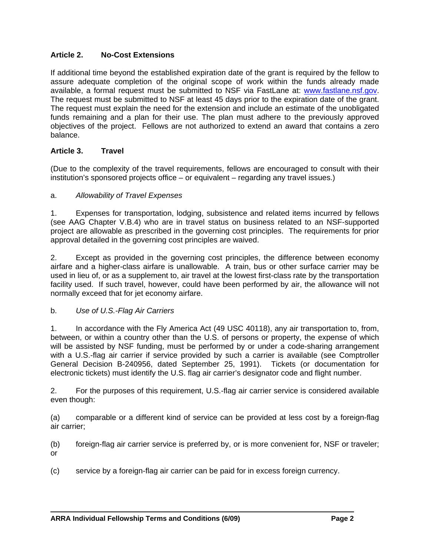## <span id="page-1-0"></span>**Article 2. No-Cost Extensions**

If additional time beyond the established expiration date of the grant is required by the fellow to assure adequate completion of the original scope of work within the funds already made available, a formal request must be submitted to NSF via FastLane at: www.fastlane.nsf.gov. The request must be submitted to NSF at least 45 days prior to the expiration date of the grant. The request must explain the need for the extension and include an estimate of the unobligated funds remaining and a plan for their use. The plan must adhere to the previously approved objectives of the project. Fellows are not authorized to extend an award that contains a zero balance.

#### **Article 3. Travel**

(Due to the complexity of the travel requirements, fellows are encouraged to consult with their institution's sponsored projects office – or equivalent – regarding any travel issues.)

#### a. *Allowability of Travel Expenses*

1. Expenses for transportation, lodging, subsistence and related items incurred by fellows (see AAG Chapter V.B.4) who are in travel status on business related to an NSF-supported project are allowable as prescribed in the governing cost principles. The requirements for prior approval detailed in the governing cost principles are waived.

2. Except as provided in the governing cost principles, the difference between economy airfare and a higher-class airfare is unallowable. A train, bus or other surface carrier may be used in lieu of, or as a supplement to, air travel at the lowest first-class rate by the transportation facility used. If such travel, however, could have been performed by air, the allowance will not normally exceed that for jet economy airfare.

#### b. *Use of U.S.-Flag Air Carriers*

1. In accordance with the Fly America Act (49 USC 40118), any air transportation to, from, between, or within a country other than the U.S. of persons or property, the expense of which will be assisted by NSF funding, must be performed by or under a code-sharing arrangement with a U.S.-flag air carrier if service provided by such a carrier is available (see Comptroller General Decision B-240956, dated September 25, 1991). Tickets (or documentation for electronic tickets) must identify the U.S. flag air carrier's designator code and flight number.

2. For the purposes of this requirement, U.S.-flag air carrier service is considered available even though:

(a) comparable or a different kind of service can be provided at less cost by a foreign-flag air carrier;

(b) foreign-flag air carrier service is preferred by, or is more convenient for, NSF or traveler; or

(c) service by a foreign-flag air carrier can be paid for in excess foreign currency.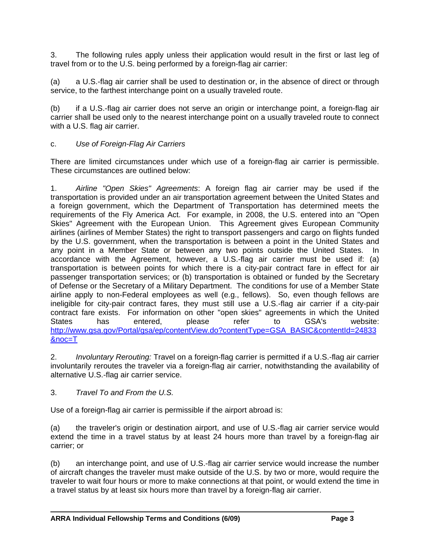3. The following rules apply unless their application would result in the first or last leg of travel from or to the U.S. being performed by a foreign-flag air carrier:

(a) a U.S.-flag air carrier shall be used to destination or, in the absence of direct or through service, to the farthest interchange point on a usually traveled route.

(b) if a U.S.-flag air carrier does not serve an origin or interchange point, a foreign-flag air carrier shall be used only to the nearest interchange point on a usually traveled route to connect with a U.S. flag air carrier.

## c. *Use of Foreign-Flag Air Carriers*

There are limited circumstances under which use of a foreign-flag air carrier is permissible. These circumstances are outlined below:

1. *Airline "Open Skies" Agreements*: A foreign flag air carrier may be used if the transportation is provided under an air transportation agreement between the United States and a foreign government, which the Department of Transportation has determined meets the requirements of the Fly America Act. For example, in 2008, the U.S. entered into an "Open Skies" Agreement with the European Union. This Agreement gives European Community airlines (airlines of Member States) the right to transport passengers and cargo on flights funded by the U.S. government, when the transportation is between a point in the United States and any point in a Member State or between any two points outside the United States. In accordance with the Agreement, however, a U.S.-flag air carrier must be used if: (a) transportation is between points for which there is a city-pair contract fare in effect for air passenger transportation services; or (b) transportation is obtained or funded by the Secretary of Defense or the Secretary of a Military Department. The conditions for use of a Member State airline apply to non-Federal employees as well (e.g., fellows). So, even though fellows are ineligible for city-pair contract fares, they must still use a U.S.-flag air carrier if a city-pair contract fare exists. For information on other "open skies" agreements in which the United States has entered, please refer to GSA's website: http://www.gsa.gov/Portal/gsa/ep/contentView.do?contentType=GSA\_BASIC&contentId=24833 &noc=T

2. *Involuntary Rerouting:* Travel on a foreign-flag carrier is permitted if a U.S.-flag air carrier involuntarily reroutes the traveler via a foreign-flag air carrier, notwithstanding the availability of alternative U.S.-flag air carrier service.

3. *Travel To and From the U.S.* 

Use of a foreign-flag air carrier is permissible if the airport abroad is:

(a) the traveler's origin or destination airport, and use of U.S.-flag air carrier service would extend the time in a travel status by at least 24 hours more than travel by a foreign-flag air carrier; or

(b) an interchange point, and use of U.S.-flag air carrier service would increase the number of aircraft changes the traveler must make outside of the U.S. by two or more, would require the traveler to wait four hours or more to make connections at that point, or would extend the time in a travel status by at least six hours more than travel by a foreign-flag air carrier.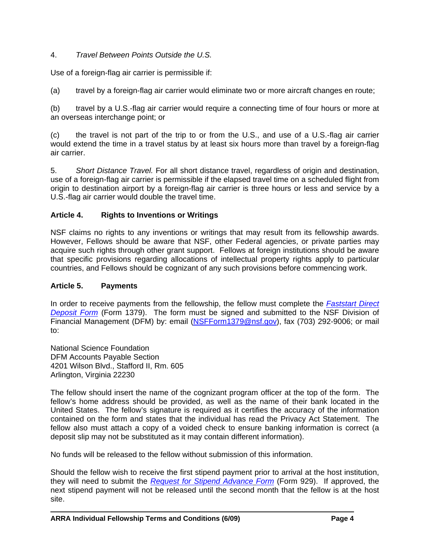## <span id="page-3-0"></span>4. *Travel Between Points Outside the U.S.*

Use of a foreign-flag air carrier is permissible if:

(a) travel by a foreign-flag air carrier would eliminate two or more aircraft changes en route;

(b) travel by a U.S.-flag air carrier would require a connecting time of four hours or more at an overseas interchange point; or

(c) the travel is not part of the trip to or from the U.S., and use of a U.S.-flag air carrier would extend the time in a travel status by at least six hours more than travel by a foreign-flag air carrier.

5. *Short Distance Travel.* For all short distance travel, regardless of origin and destination, use of a foreign-flag air carrier is permissible if the elapsed travel time on a scheduled flight from origin to destination airport by a foreign-flag air carrier is three hours or less and service by a U.S.-flag air carrier would double the travel time.

### **Article 4. Rights to Inventions or Writings**

NSF claims no rights to any inventions or writings that may result from its fellowship awards. However, Fellows should be aware that NSF, other Federal agencies, or private parties may acquire such rights through other grant support. Fellows at foreign institutions should be aware that specific provisions regarding allocations of intellectual property rights apply to particular countries, and Fellows should be cognizant of any such provisions before commencing work.

#### **Article 5. Payments**

In order to receive payments from the fellowship, the fellow must complete the *[Faststart Direct](http://www.nsf.gov/publications/pub_summ.jsp?ods_key=faststartfm1379)  [Deposit Form](http://www.nsf.gov/publications/pub_summ.jsp?ods_key=faststartfm1379)* (Form 1379). The form must be signed and submitted to the NSF Division of Financial Management (DFM) by: email (NSFForm1379@nsf.gov), fax (703) 292-9006; or mail to:

National Science Foundation DFM Accounts Payable Section 4201 Wilson Blvd., Stafford II, Rm. 605 Arlington, Virginia 22230

The fellow should insert the name of the cognizant program officer at the top of the form. The fellow's home address should be provided, as well as the name of their bank located in the United States. The fellow's signature is required as it certifies the accuracy of the information contained on the form and states that the individual has read the Privacy Act Statement. The fellow also must attach a copy of a voided check to ensure banking information is correct (a deposit slip may not be substituted as it may contain different information).

No funds will be released to the fellow without submission of this information.

Should the fellow wish to receive the first stipend payment prior to arrival at the host institution, they will need to submit the *[Request for Stipend Advance Form](http://www.nsf.gov/publications/pub_summ.jsp?ods_key=stipendreqfm929)* (Form 929). If approved, the next stipend payment will not be released until the second month that the fellow is at the host site.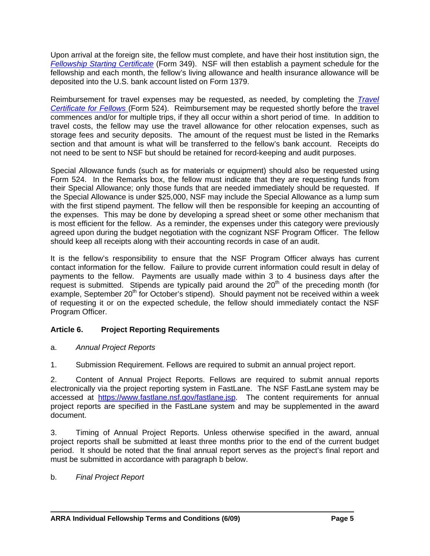<span id="page-4-0"></span>Upon arrival at the foreign site, the fellow must complete, and have their host institution sign, the *[Fellowship Starting Certificate](http://www.nsf.gov/publications/pub_summ.jsp?ods_key=fellowstartcertfm349)* (Form 349). NSF will then establish a payment schedule for the fellowship and each month, the fellow's living allowance and health insurance allowance will be deposited into the U.S. bank account listed on Form 1379.

 section and that amount is what will be transferred to the fellow's bank account. Receipts do Reimbursement for travel expenses may be requested, as needed, by completing the *[Travel](http://www.nsf.gov/publications/pub_summ.jsp?ods_key=travelcertfm524)  [Certificate for Fellows](http://www.nsf.gov/publications/pub_summ.jsp?ods_key=travelcertfm524)* (Form 524). Reimbursement may be requested shortly before the travel commences and/or for multiple trips, if they all occur within a short period of time. In addition to travel costs, the fellow may use the travel allowance for other relocation expenses, such as storage fees and security deposits. The amount of the request must be listed in the Remarks not need to be sent to NSF but should be retained for record-keeping and audit purposes.

Special Allowance funds (such as for materials or equipment) should also be requested using Form 524. In the Remarks box, the fellow must indicate that they are requesting funds from their Special Allowance; only those funds that are needed immediately should be requested. If the Special Allowance is under \$25,000, NSF may include the Special Allowance as a lump sum with the first stipend payment. The fellow will then be responsible for keeping an accounting of the expenses. This may be done by developing a spread sheet or some other mechanism that is most efficient for the fellow. As a reminder, the expenses under this category were previously agreed upon during the budget negotiation with the cognizant NSF Program Officer. The fellow should keep all receipts along with their accounting records in case of an audit.

It is the fellow's responsibility to ensure that the NSF Program Officer always has current contact information for the fellow. Failure to provide current information could result in delay of payments to the fellow. Payments are usually made within 3 to 4 business days after the request is submitted. Stipends are typically paid around the 20<sup>th</sup> of the preceding month (for example, September 20<sup>th</sup> for October's stipend). Should payment not be received within a week of requesting it or on the expected schedule, the fellow should immediately contact the NSF Program Officer.

## **Article 6. Project Reporting Requirements**

- a. *Annual Project Reports*
- 1. Submission Requirement. Fellows are required to submit an annual project report.

2. Content of Annual Project Reports. Fellows are required to submit annual reports electronically via the project reporting system in FastLane. The NSF FastLane system may be accessed at https://www.fastlane.nsf.gov/fastlane.jsp. The content requirements for annual project reports are specified in the FastLane system and may be supplemented in the award document.

3. Timing of Annual Project Reports. Unless otherwise specified in the award, annual project reports shall be submitted at least three months prior to the end of the current budget period. It should be noted that the final annual report serves as the project's final report and must be submitted in accordance with paragraph b below.

## b. *Final Project Report*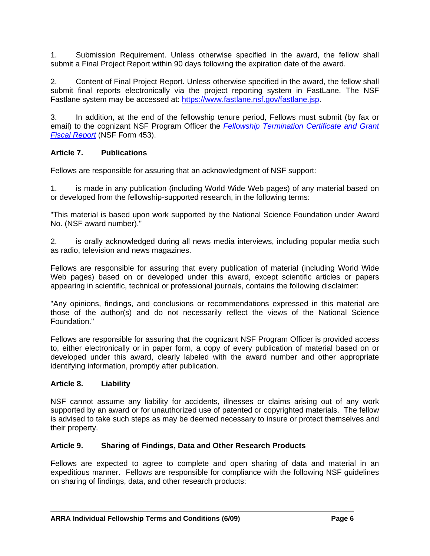<span id="page-5-0"></span>1. Submission Requirement. Unless otherwise specified in the award, the fellow shall submit a Final Project Report within 90 days following the expiration date of the award.

2. Content of Final Project Report. Unless otherwise specified in the award, the fellow shall submit final reports electronically via the project reporting system in FastLane. The NSF Fastlane system may be accessed at: https://www.fastlane.nsf.gov/fastlane.jsp.

3. In addition, at the end of the fellowship tenure period, Fellows must submit (by fax or email) to the cognizant NSF Program Officer the *[Fellowship Termination Certificate and Grant](http://www.nsf.gov/publications/pub_summ.jsp?ods_key=fellowtermfm453)  [Fiscal Report](http://www.nsf.gov/publications/pub_summ.jsp?ods_key=fellowtermfm453)* (NSF Form 453).

### **Article 7. Publications**

Fellows are responsible for assuring that an acknowledgment of NSF support:

1. is made in any publication (including World Wide Web pages) of any material based on or developed from the fellowship-supported research, in the following terms:

"This material is based upon work supported by the National Science Foundation under Award No. (NSF award number)."

2. is orally acknowledged during all news media interviews, including popular media such as radio, television and news magazines.

Fellows are responsible for assuring that every publication of material (including World Wide Web pages) based on or developed under this award, except scientific articles or papers appearing in scientific, technical or professional journals, contains the following disclaimer:

"Any opinions, findings, and conclusions or recommendations expressed in this material are those of the author(s) and do not necessarily reflect the views of the National Science Foundation."

Fellows are responsible for assuring that the cognizant NSF Program Officer is provided access to, either electronically or in paper form, a copy of every publication of material based on or developed under this award, clearly labeled with the award number and other appropriate identifying information, promptly after publication.

#### **Article 8. Liability**

NSF cannot assume any liability for accidents, illnesses or claims arising out of any work supported by an award or for unauthorized use of patented or copyrighted materials. The fellow is advised to take such steps as may be deemed necessary to insure or protect themselves and their property.

#### **Article 9. Sharing of Findings, Data and Other Research Products**

Fellows are expected to agree to complete and open sharing of data and material in an expeditious manner. Fellows are responsible for compliance with the following NSF guidelines on sharing of findings, data, and other research products: